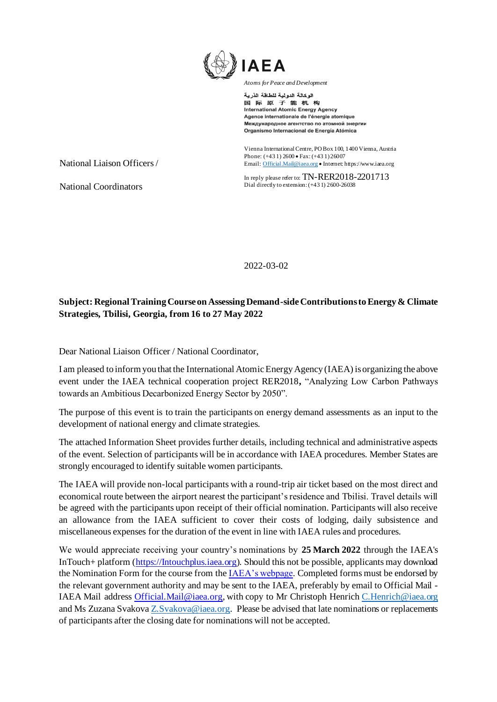

الوكالة الدولية للطاقة الذرية 国际原子能机构 **International Atomic Energy Agency** Agence internationale de l'énergie atomique Международное агентство по атомной энергии Organismo Internacional de Energía Atómica

Vienna International Centre, PO Box 100, 1400 Vienna, Austria Phone: (+43 1) 2600 • Fax: (+43 1) 26007 Emai[l: Official.Mail@iaea.org](mailto:official.mail@iaea.org) • Interne[t: https://www.iaea.org](https://www.iaea.org/)

In reply please refer to: TN-RER2018-2201713 Dial directly to extension: (+43 1) 2600-26038

2022-03-02

## **Subject: Regional Training Course on Assessing Demand-side Contributions to Energy & Climate Strategies, Tbilisi, Georgia, from 16 to 27 May 2022**

Dear National Liaison Officer / National Coordinator,

I am pleased to inform you that the International Atomic Energy Agency (IAEA) is organizing the above event under the IAEA technical cooperation project RER2018**,** "Analyzing Low Carbon Pathways towards an Ambitious Decarbonized Energy Sector by 2050".

The purpose of this event is to train the participants on energy demand assessments as an input to the development of national energy and climate strategies.

The attached Information Sheet provides further details, including technical and administrative aspects of the event. Selection of participants will be in accordance with IAEA procedures. Member States are strongly encouraged to identify suitable women participants.

The IAEA will provide non-local participants with a round-trip air ticket based on the most direct and economical route between the airport nearest the participant's residence and Tbilisi. Travel details will be agreed with the participants upon receipt of their official nomination. Participants will also receive an allowance from the IAEA sufficient to cover their costs of lodging, daily subsistence and miscellaneous expenses for the duration of the event in line with IAEA rules and procedures.

We would appreciate receiving your country's nominations by **25 March 2022** through the IAEA's InTouch+ platform [\(https://Intouchplus.iaea.org](https://intouchplus.iaea.org/)). Should this not be possible, applicants may download the Nomination Form for the course from th[e IAEA's webpage.](https://www.iaea.org/services/technical-cooperation-programme/how-to-participate) Completed forms must be endorsed by the relevant government authority and may be sent to the IAEA, preferably by email to Official Mail - IAEA Mail address [Official.Mail@iaea.org,](mailto:Official.Mail@iaea.org) with copy to Mr Christoph Henrich [C.Henrich@iaea.org](mailto:C.Henrich@iaea.org) and Ms Zuzana Svakova [Z.Svakova@iaea.org.](mailto:Z.Svakova@iaea.org) Please be advised that late nominations or replacements of participants after the closing date for nominations will not be accepted.

National Liaison Officers /

National Coordinators